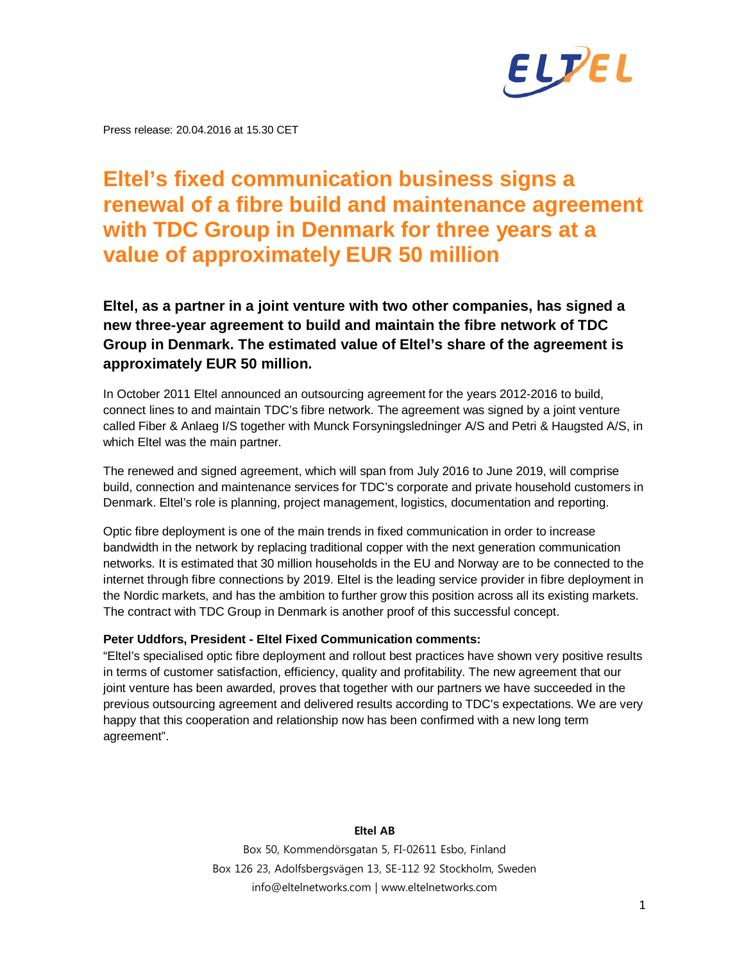

Press release: 20.04.2016 at 15.30 CET

# **Eltel's fixed communication business signs a renewal of a fibre build and maintenance agreement with TDC Group in Denmark for three years at a value of approximately EUR 50 million**

# **Eltel, as a partner in a joint venture with two other companies, has signed a new three-year agreement to build and maintain the fibre network of TDC Group in Denmark. The estimated value of Eltel's share of the agreement is approximately EUR 50 million.**

In October 2011 Eltel announced an outsourcing agreement for the years 2012-2016 to build, connect lines to and maintain TDC's fibre network. The agreement was signed by a joint venture called Fiber & Anlaeg I/S together with Munck Forsyningsledninger A/S and Petri & Haugsted A/S, in which Eltel was the main partner.

The renewed and signed agreement, which will span from July 2016 to June 2019, will comprise build, connection and maintenance services for TDC's corporate and private household customers in Denmark. Eltel's role is planning, project management, logistics, documentation and reporting.

Optic fibre deployment is one of the main trends in fixed communication in order to increase bandwidth in the network by replacing traditional copper with the next generation communication networks. It is estimated that 30 million households in the EU and Norway are to be connected to the internet through fibre connections by 2019. Eltel is the leading service provider in fibre deployment in the Nordic markets, and has the ambition to further grow this position across all its existing markets. The contract with TDC Group in Denmark is another proof of this successful concept.

### **Peter Uddfors, President - Eltel Fixed Communication comments:**

"Eltel's specialised optic fibre deployment and rollout best practices have shown very positive results in terms of customer satisfaction, efficiency, quality and profitability. The new agreement that our joint venture has been awarded, proves that together with our partners we have succeeded in the previous outsourcing agreement and delivered results according to TDC's expectations. We are very happy that this cooperation and relationship now has been confirmed with a new long term agreement".

#### **Eltel AB**

Box 50, Kommendörsgatan 5, FI-02611 Esbo, Finland Box 126 23, Adolfsbergsvägen 13, SE-112 92 Stockholm, Sweden info@eltelnetworks.com | www.eltelnetworks.com